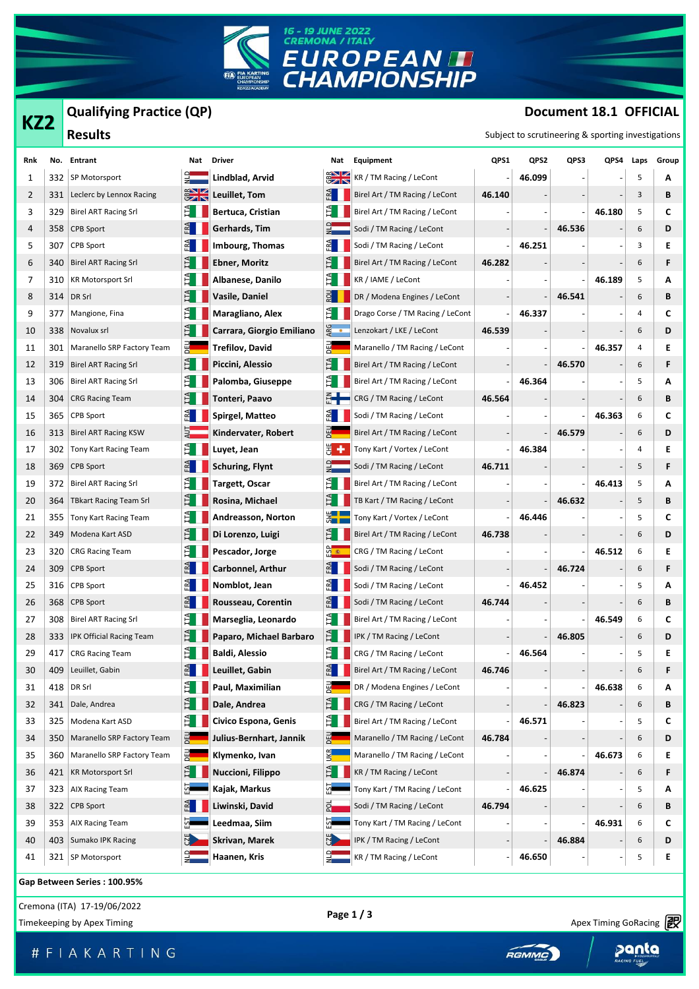

**Qualifying Practice (QP)**

## **Document 18.1 OFFICIAL**

| KZ2 |     | Qualifying Practice (QP)       |                    |                           |                                                    |                                         |        | Document 18.1 OFFICIAL |        |        |      |       |  |
|-----|-----|--------------------------------|--------------------|---------------------------|----------------------------------------------------|-----------------------------------------|--------|------------------------|--------|--------|------|-------|--|
|     |     | <b>Results</b>                 |                    |                           | Subject to scrutineering & sporting investigations |                                         |        |                        |        |        |      |       |  |
| Rnk |     | No. Entrant                    | Nat                | <b>Driver</b>             | Nat                                                | Equipment                               | QPS1   | QPS2                   | QPS3   | QPS4   | Laps | Group |  |
| 1   | 332 | SP Motorsport                  |                    | Lindblad, Arvid           | $\frac{2}{3}$                                      | KR / TM Racing / LeCont                 |        | 46.099                 |        |        | 5    | A     |  |
| 2   | 331 | Leclerc by Lennox Racing       | $\frac{1}{2}$      | Leuillet, Tom             | E                                                  | Birel Art / TM Racing / LeCont          | 46.140 |                        |        |        | 3    | В     |  |
| 3   | 329 | <b>Birel ART Racing Srl</b>    | È.                 | Bertuca, Cristian         | E.                                                 | Birel Art / TM Racing / LeCont          |        |                        |        | 46.180 | 5    | С     |  |
| 4   | 358 | <b>CPB Sport</b>               | E                  | Gerhards, Tim             |                                                    | Sodi / TM Racing / LeCont               |        |                        | 46.536 |        | 6    | D     |  |
| 5   | 307 | CPB Sport                      |                    | Imbourg, Thomas           |                                                    | Sodi / TM Racing / LeCont               |        | 46.251                 |        |        | 3    | Ε     |  |
| 6   | 340 | <b>Birel ART Racing Srl</b>    | Ĕ                  | <b>Ebner, Moritz</b>      |                                                    | Birel Art / TM Racing / LeCont          | 46.282 |                        |        |        | 6    | F     |  |
| 7   | 310 | <b>KR Motorsport Srl</b>       |                    | Albanese, Danilo          |                                                    | KR / IAME / LeCont                      |        |                        |        | 46.189 | 5    | A     |  |
| 8   | 314 | DR Srl                         |                    | Vasile, Daniel            | $R$ <sub>2</sub>                                   | DR / Modena Engines / LeCont            |        |                        | 46.541 |        | 6    | В     |  |
| 9   | 377 | Mangione, Fina                 | E.                 | Maragliano, Alex          | Ë.                                                 | Drago Corse / TM Racing / LeCont        |        | 46.337                 |        |        | 4    | c     |  |
| 10  | 338 | Novalux srl                    | E                  | Carrara, Giorgio Emiliano | ARG<br>•                                           | Lenzokart / LKE / LeCont                | 46.539 |                        |        |        | 6    | D     |  |
| 11  | 301 | Maranello SRP Factory Team     | 펢                  | <b>Trefilov, David</b>    | 펣                                                  | Maranello / TM Racing / LeCont          |        |                        |        | 46.357 | 4    | Ε     |  |
| 12  | 319 | <b>Birel ART Racing Srl</b>    | Ê.                 | Piccini, Alessio          |                                                    | Birel Art / TM Racing / LeCont          |        |                        | 46.570 |        | 6    | F     |  |
| 13  | 306 | <b>Birel ART Racing Srl</b>    | È.                 | Palomba, Giuseppe         | Ê.                                                 | Birel Art / TM Racing / LeCont          |        | 46.364                 |        |        | 5    | A     |  |
| 14  | 304 | <b>CRG Racing Team</b>         |                    | Tonteri, Paavo            |                                                    | CRG / TM Racing / LeCont                | 46.564 |                        |        |        | 6    | В     |  |
| 15  | 365 | CPB Sport                      | E                  | Spirgel, Matteo           | $\mathbb{E}$                                       | Sodi / TM Racing / LeCont               |        |                        |        | 46.363 | 6    | C     |  |
| 16  | 313 | <b>Birel ART Racing KSW</b>    |                    | Kindervater, Robert       |                                                    | Birel Art / TM Racing / LeCont          |        |                        | 46.579 |        | 6    | D     |  |
| 17  | 302 | Tony Kart Racing Team          |                    | Luyet, Jean               | ä.                                                 | Tony Kart / Vortex / LeCont             |        | 46.384                 |        |        | 4    | Ε     |  |
| 18  | 369 | CPB Sport                      |                    | <b>Schuring, Flynt</b>    |                                                    | Sodi / TM Racing / LeCont               | 46.711 |                        |        |        | 5    | F     |  |
| 19  | 372 | <b>Birel ART Racing Srl</b>    |                    | <b>Targett, Oscar</b>     |                                                    | Birel Art / TM Racing / LeCont          |        |                        |        | 46.413 | 5    | A     |  |
| 20  | 364 | <b>TBkart Racing Team Srl</b>  | H                  | Rosina, Michael           |                                                    | TB Kart / TM Racing / LeCont            |        |                        | 46.632 |        | 5    | В     |  |
| 21  | 355 | Tony Kart Racing Team          | ÈI.                | Andreasson, Norton        | 3 —                                                | Tony Kart / Vortex / LeCont             |        | 46.446                 |        |        | 5    | C     |  |
| 22  | 349 | Modena Kart ASD                |                    | Di Lorenzo, Luigi         | Ħ.                                                 | Birel Art / TM Racing / LeCont          | 46.738 |                        |        |        | 6    | D     |  |
| 23  | 320 | <b>CRG Racing Team</b>         | E.                 | Pescador, Jorge           | ჭ <mark>ა დ</mark>                                 | CRG / TM Racing / LeCont                |        |                        |        | 46.512 | 6    | Ε     |  |
| 24  | 309 | <b>CPB Sport</b>               |                    | Carbonnel, Arthur         |                                                    | Sodi / TM Racing / LeCont               |        |                        | 46.724 |        | 6    | F     |  |
| 25  | 316 | <b>CPB Sport</b>               | E                  | Nomblot, Jean             |                                                    | Sodi / TM Racing / LeCont               |        | 46.452                 |        |        | 5    | A     |  |
| 26  | 368 | <b>CPB Sport</b>               | $\mathbb{E}$       | Rousseau, Corentin        |                                                    | Sodi / TM Racing / LeCont               | 46.744 |                        |        |        | 6    | В     |  |
| 27  | 308 | <b>Birel ART Racing Srl</b>    |                    | Marseglia, Leonardo       |                                                    | Birel Art / TM Racing / LeCont          |        |                        |        | 46.549 | 6    | c     |  |
| 28  |     | 333   IPK Official Racing Team | $E$ $\blacksquare$ | Paparo, Michael Barbaro   |                                                    | $\mathbf{E}$   IPK / TM Racing / LeCont |        |                        | 46.805 |        | 6    | D     |  |
| 29  | 417 | <b>CRG Racing Team</b>         |                    | <b>Baldi, Alessio</b>     |                                                    | CRG / TM Racing / LeCont                |        | 46.564                 |        |        | 5    | Ε     |  |
| 30  | 409 | Leuillet, Gabin                |                    | Leuillet, Gabin           | FRA                                                | Birel Art / TM Racing / LeCont          | 46.746 |                        |        |        | 6    | F     |  |
| 31  | 418 | DR Srl                         |                    | Paul, Maximilian          | 릷                                                  | DR / Modena Engines / LeCont            |        |                        |        | 46.638 | 6    | A     |  |
| 32  | 341 | Dale, Andrea                   |                    | Dale, Andrea              | E                                                  | CRG / TM Racing / LeCont                |        |                        | 46.823 |        | 6    | В     |  |
| 33  | 325 | Modena Kart ASD                | E.                 | Civico Espona, Genis      | È.                                                 | Birel Art / TM Racing / LeCont          |        | 46.571                 |        |        | 5    | c     |  |
| 34  | 350 | Maranello SRP Factory Team     |                    | Julius-Bernhart, Jannik   | 뗀                                                  | Maranello / TM Racing / LeCont          | 46.784 |                        |        |        | 6    | D     |  |
| 35  | 360 | Maranello SRP Factory Team     | 몙                  | Klymenko, Ivan            | <u>ын</u>                                          | Maranello / TM Racing / LeCont          |        |                        |        | 46.673 | 6    | Ε     |  |
| 36  | 421 | <b>KR Motorsport Srl</b>       |                    | Nuccioni, Filippo         | e                                                  | KR / TM Racing / LeCont                 |        |                        | 46.874 |        | 6    | F     |  |
| 37  | 323 | AIX Racing Team                |                    | Kajak, Markus             |                                                    | Tony Kart / TM Racing / LeCont          |        | 46.625                 |        |        | 5    | Α     |  |
| 38  | 322 | <b>CPB Sport</b>               | E                  | Liwinski, David           | $\mathbf{E}$                                       | Sodi / TM Racing / LeCont               | 46.794 |                        |        |        | 6    | В     |  |
| 39  | 353 | <b>AIX Racing Team</b>         |                    | Leedmaa, Siim             |                                                    | Tony Kart / TM Racing / LeCont          |        |                        |        | 46.931 | 6    | c     |  |
| 40  | 403 | Sumako IPK Racing              |                    | Skrivan, Marek            | Ŋ                                                  | IPK / TM Racing / LeCont                |        |                        | 46.884 |        | 6    | D     |  |
| 41  |     | 321   SP Motorsport            |                    | Haanen, Kris              |                                                    | KR / TM Racing / LeCont                 |        | 46.650                 |        |        | 5    | Е     |  |

**Gap Between Series : 100.95%**

Cremona (ITA) 17-19/06/2022 **Page 1 / 3**

Timekeeping by Apex Timing Cornelations of the Cornelation of the Cornelation of the Cornelation of the Cornelation of the Cornelation of the Cornelation of the Cornelation of the Cornelation of the Cornelation of the Corn

Apex Timing - drive your success https://www.apex-timing.com/

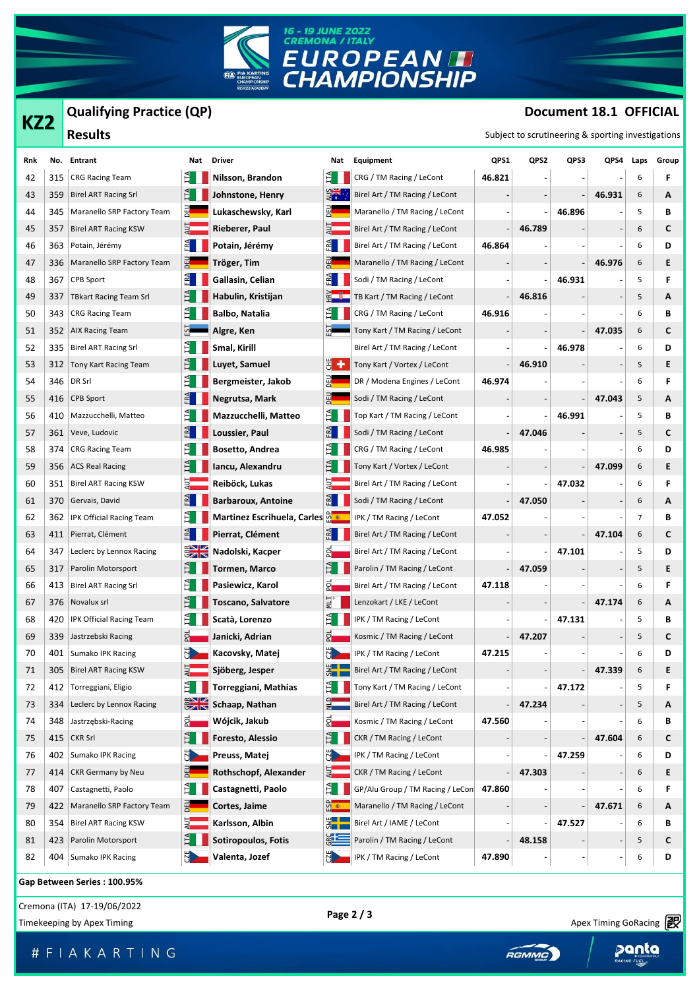

**Qualifying Practice (QP)**

## **Document 18.1 OFFICIAL**

|     |     | Qualifying Practice (QP)      |                                |                             |               |                                  |        |                                                    | Document 18.1 OFFICIAL |        |      |       |  |  |
|-----|-----|-------------------------------|--------------------------------|-----------------------------|---------------|----------------------------------|--------|----------------------------------------------------|------------------------|--------|------|-------|--|--|
| KZ2 |     | <b>Results</b>                |                                |                             |               |                                  |        | Subject to scrutineering & sporting investigations |                        |        |      |       |  |  |
| Rnk |     | No. Entrant                   | Nat                            | <b>Driver</b>               | Nat           | Equipment                        | QPS1   | QPS2                                               | QPS3                   | QPS4   | Laps | Group |  |  |
| 42  | 315 | <b>CRG Racing Team</b>        | È.                             | Nilsson, Brandon            | E.            | CRG / TM Racing / LeCont         | 46.821 |                                                    |                        |        | 6    | F     |  |  |
| 43  | 359 | <b>Birel ART Racing Srl</b>   | E I                            | Johnstone, Henry            | ERS           | Birel Art / TM Racing / LeCont   |        |                                                    |                        | 46.931 | 6    | A     |  |  |
| 44  | 345 | Maranello SRP Factory Team    | 덻                              | Lukaschewsky, Karl          | 펢             | Maranello / TM Racing / LeCont   |        |                                                    | 46.896                 |        | 5    | В     |  |  |
| 45  | 357 | <b>Birel ART Racing KSW</b>   |                                | Rieberer, Paul              |               | Birel Art / TM Racing / LeCont   |        | 46.789                                             |                        |        | 6    | С     |  |  |
| 46  | 363 | Potain, Jérémy                | ≊∎                             | Potain, Jérémy              | 레             | Birel Art / TM Racing / LeCont   | 46.864 |                                                    |                        |        | 6    | D     |  |  |
| 47  | 336 | Maranello SRP Factory Team    |                                | Tröger, Tim                 |               | Maranello / TM Racing / LeCont   |        |                                                    |                        | 46.976 | 6    | Ε     |  |  |
| 48  | 367 | CPB Sport                     | $\mathbb{E}$                   | Gallasin, Celian            | 레             | Sodi / TM Racing / LeCont        |        |                                                    | 46.931                 |        | 5    | F     |  |  |
| 49  | 337 | <b>TBkart Racing Team Srl</b> | EI.                            | Habulin, Kristijan          |               | TB Kart / TM Racing / LeCont     |        | 46.816                                             |                        |        | 5    | A     |  |  |
| 50  | 343 | <b>CRG Racing Team</b>        | È.                             | Balbo, Natalia              | E.            | CRG / TM Racing / LeCont         | 46.916 |                                                    |                        |        | 6    | В     |  |  |
| 51  | 352 | <b>AIX Racing Team</b>        |                                | Algre, Ken                  |               | Tony Kart / TM Racing / LeCont   |        |                                                    |                        | 47.035 | 6    | С     |  |  |
| 52  | 335 | <b>Birel ART Racing Srl</b>   | EI.                            | Smal, Kirill                |               | Birel Art / TM Racing / LeCont   |        |                                                    | 46.978                 |        | 6    | D     |  |  |
| 53  | 312 | Tony Kart Racing Team         |                                | Luyet, Samuel               | ă +           | Tony Kart / Vortex / LeCont      |        | 46.910                                             |                        |        | 5    | Е     |  |  |
| 54  | 346 | DR Srl                        | Ě                              | Bergmeister, Jakob          |               | DR / Modena Engines / LeCont     | 46.974 |                                                    |                        |        | 6    | F     |  |  |
| 55  | 416 | <b>CPB Sport</b>              | E                              | Negrutsa, Mark              |               | Sodi / TM Racing / LeCont        |        |                                                    |                        | 47.043 | 5    | A     |  |  |
| 56  | 410 | Mazzucchelli, Matteo          | IТA                            | Mazzucchelli, Matteo        |               | Top Kart / TM Racing / LeCont    |        |                                                    | 46.991                 |        | 5    | В     |  |  |
| 57  | 361 | Veve, Ludovic                 | $ER$ <sup><math>2</math></sup> | Loussier, Paul              | 레             | Sodi / TM Racing / LeCont        |        | 47.046                                             |                        |        | 5    | С     |  |  |
| 58  | 374 | <b>CRG Racing Team</b>        |                                | Bosetto, Andrea             |               | CRG / TM Racing / LeCont         | 46.985 |                                                    |                        |        | 6    | D     |  |  |
| 59  | 356 | <b>ACS Real Racing</b>        | EI.                            | Iancu, Alexandru            |               | Tony Kart / Vortex / LeCont      |        |                                                    |                        | 47.099 | 6    | E     |  |  |
| 60  | 351 | <b>Birel ART Racing KSW</b>   |                                | Reiböck, Lukas              |               | Birel Art / TM Racing / LeCont   |        |                                                    | 47.032                 |        | 6    | F     |  |  |
| 61  | 370 | Gervais, David                | $E^{\mathbf{A}}$               | <b>Barbaroux, Antoine</b>   | FRA           | Sodi / TM Racing / LeCont        |        | 47.050                                             |                        |        | 6    | A     |  |  |
| 62  | 362 | IPK Official Racing Team      | E                              | Martinez Escrihuela, Carles |               | IPK / TM Racing / LeCont         | 47.052 |                                                    |                        |        | 7    | В     |  |  |
| 63  | 411 | Pierrat, Clément              | ER                             | Pierrat, Clément            | $\mathbb{E}$  | Birel Art / TM Racing / LeCont   |        |                                                    |                        | 47.104 | 6    | С     |  |  |
| 64  | 347 | Leclerc by Lennox Racing      | $\frac{1}{2}$                  | Nadolski, Kacper            | 2             | Birel Art / TM Racing / LeCont   |        |                                                    | 47.101                 |        | 5    | D     |  |  |
| 65  | 317 | Parolin Motorsport            | EL.                            | Tormen, Marco               | È             | Parolin / TM Racing / LeCont     |        | 47.059                                             |                        |        | 5    | Ε     |  |  |
| 66  | 413 | <b>Birel ART Racing Srl</b>   | È.                             | Pasiewicz, Karol            | 2             | Birel Art / TM Racing / LeCont   | 47.118 |                                                    |                        |        | 6    | F     |  |  |
| 67  | 376 | Novalux srl                   | 日                              | <b>Toscano, Salvatore</b>   | ≦ं            | Lenzokart / LKE / LeCont         |        |                                                    |                        | 47.174 | 6    | A     |  |  |
| 68  | 420 | IPK Official Racing Team      |                                | Scatà, Lorenzo              |               | IPK / TM Racing / LeCont         |        |                                                    | 47.131                 |        | 5    | В     |  |  |
| 69  |     | 339 Jastrzebski Racing        | <u>히</u>                       | Janicki, Adrian             | ಕ_            | Kosmic / TM Racing / LeCont      |        | 47.207                                             |                        |        |      | С     |  |  |
| 70  | 401 | Sumako IPK Racing             |                                | Kacovsky, Matej             | Ы.            | IPK / TM Racing / LeCont         | 47.215 |                                                    |                        |        | 6    | D     |  |  |
| 71  | 305 | <b>Birel ART Racing KSW</b>   |                                | Sjöberg, Jesper             |               | Birel Art / TM Racing / LeCont   |        |                                                    |                        | 47.339 | 6    | E     |  |  |
| 72  | 412 | Torreggiani, Eligio           |                                | <b>Torreggiani, Mathias</b> | E             | Tony Kart / TM Racing / LeCont   |        |                                                    | 47.172                 |        | 5    | F     |  |  |
| 73  | 334 | Leclerc by Lennox Racing      | $\frac{1}{2}$                  | Schaap, Nathan              | $\frac{1}{2}$ | Birel Art / TM Racing / LeCont   |        | 47.234                                             |                        |        | 5    | A     |  |  |
| 74  | 348 | Jastrzębski-Racing            | 인                              | Wójcik, Jakub               | ନ୍ମ           | Kosmic / TM Racing / LeCont      | 47.560 |                                                    |                        |        | 6    | В     |  |  |
| 75  | 415 | <b>CKR Srl</b>                |                                | Foresto, Alessio            | E.            | CKR / TM Racing / LeCont         |        |                                                    |                        | 47.604 | 6    | C     |  |  |
| 76  | 402 | Sumako IPK Racing             |                                | Preuss, Matej               |               | IPK / TM Racing / LeCont         |        |                                                    | 47.259                 |        | 6    | D     |  |  |
| 77  | 414 | <b>CKR Germany by Neu</b>     |                                | Rothschopf, Alexander       |               | CKR / TM Racing / LeCont         |        | 47.303                                             |                        |        | 6    | E     |  |  |
| 78  | 407 | Castagnetti, Paolo            | $\overline{11}$                | Castagnetti, Paolo          | E.            | GP/Alu Group / TM Racing / LeCon | 47.860 |                                                    |                        |        | 6    | F     |  |  |
| 79  | 422 | Maranello SRP Factory Team    |                                | Cortes, Jaime               | $\frac{1}{2}$ | Maranello / TM Racing / LeCont   |        |                                                    |                        | 47.671 | 6    | A     |  |  |
| 80  | 354 | <b>Birel ART Racing KSW</b>   |                                | Karlsson, Albin             | $\frac{1}{2}$ | Birel Art / IAME / LeCont        |        |                                                    | 47.527                 |        | 6    | В     |  |  |
| 81  | 423 | Parolin Motorsport            |                                | Sotiropoulos, Fotis         | gis           | Parolin / TM Racing / LeCont     |        | 48.158                                             |                        |        | 5    | C     |  |  |
| 82  | 404 | Sumako IPK Racing             |                                | Valenta, Jozef              | N             | IPK / TM Racing / LeCont         | 47.890 |                                                    |                        |        | 6    | D     |  |  |

**Gap Between Series : 100.95%**

Cremona (ITA) 17-19/06/2022 **Page 2 / 3**

Timekeeping by Apex Timing Collections and the Collection of the Collection of the Collection of the Collection<br>Timekeeping by Apex Timing Corrections and the Collection of the Collection of the Collection of the Collectio

Apex Timing - drive your success https://www.apex-timing.com/